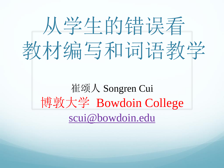

#### 崔颂人 Songren Cui 博敦大学 Bowdoin College [scui@bowdoin.edu](mailto:scui@bowdoin.edu)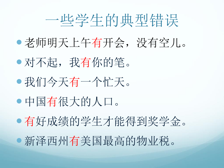#### 一些学生的典型错误

- 老师明天上午有开会,没有空儿。
- 对不起,我有你的笔。
- 我们今天有一个忙天。
- 中国有很大的人口。
- 有好成绩的学生才能得到奖学金。
- 新泽西州有美国最高的物业税。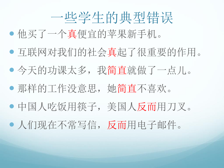#### 一些学生的典型错误

- 他买了一个真便宜的苹果新手机。
- 互联网对我们的社会真起了很重要的作用。
- 今天的功课太多,我简直就做了一点儿。
- 那样的工作没意思,她简直不喜欢。
- 中国人吃饭用筷子,美国人反而用刀叉。
- 人们现在不常写信,反而用电子邮件。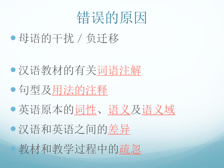#### 错误的原因

母语的干扰/负迁移

- 汉语教材的有关词语注解
- 句型及用法的注释
- 英语原本的词性、语义及语义域
- 汉语和英语之间的差异 教材和教学过程中的疏忽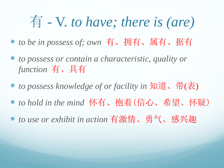### 有 - V. *to have; there is (are)*

- *to be in possess of; own* 有、拥有、属有、据有
- *to possess or contain a characteristic, quality or function* 有、具有
- *to possess knowledge of or facility in* 知道、带(表)
- to hold in the mind 怀有、拘着(信心、希望、怀疑)
- to use or exhibit in action 有激情、勇气、感兴趣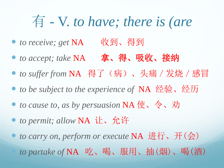### 有 - V. *to have; there is (are*

- to receive; get NA 收到、得到
- *to accept; take* NA 拿、得、吸收、接纳
- to suffer from NA 得了(病)、头痛 / 发烧 / 感冒
- *to be subject to the experience of* NA 经验、经历
- *to cause to, as by persuasion* NA 使、令、劝
- *to permit; allow* NA 让、允许
- *to carry on, perform or execute* NA 进行、开(会) *to partake of* NA 吃、喝、服用、抽(烟)、喝(酒)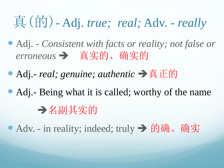### 真(的)- Adj. *true; real;* Adv. - *really*

- Adj. *Consistent with facts or reality; not false or*  erroneous → 真实的、确实的
- Adj.- *real; genuine; authentic* → 真正的
- Adj.- Being what it is called; worthy of the name 名副其实的

● Adv. - in reality; indeed; truly → 的确、确实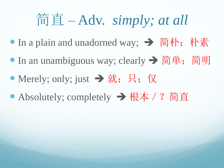#### 简直 – Adv. *simply; at all*

- In a plain and unadorned way; → 简朴; 朴素
- In an unambiguous way; clearly → 简单; 简明
- Merely; only; just  $\rightarrow$  就; 只; 仅
- Absolutely; completely → 根本 / ? 简直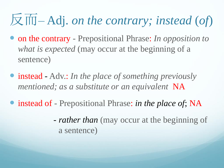# 反而– Adj. *on the contrary; instead* (*of*)

- on the contrary Prepositional Phrase: *In opposition to what is expected* (may occur at the beginning of a sentence)
- instead Adv.: *In the place of something previously mentioned; as a substitute or an equivalent* NA
- instead of Prepositional Phrase: *in the place of*; NA
	- *rather than* (may occur at the beginning of a sentence)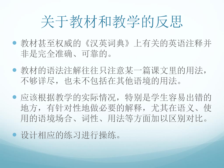## 关于教材和教学的反思

- 教材甚至权威的《汉英词典》上有关的英语注释并 非是完全准确、可靠的。
- 教材的语法注解往往只注意某一篇课文里的用法, 不够详尽,也未不包括在其他语境的用法。
- 应该根据教学的实际情况,特别是学生容易出错的 地方,有针对性地做必要的解释,尤其在语义、使 用的语境场合、词性、用法等方面加以区别对比。

设计相应的练习进行操练。